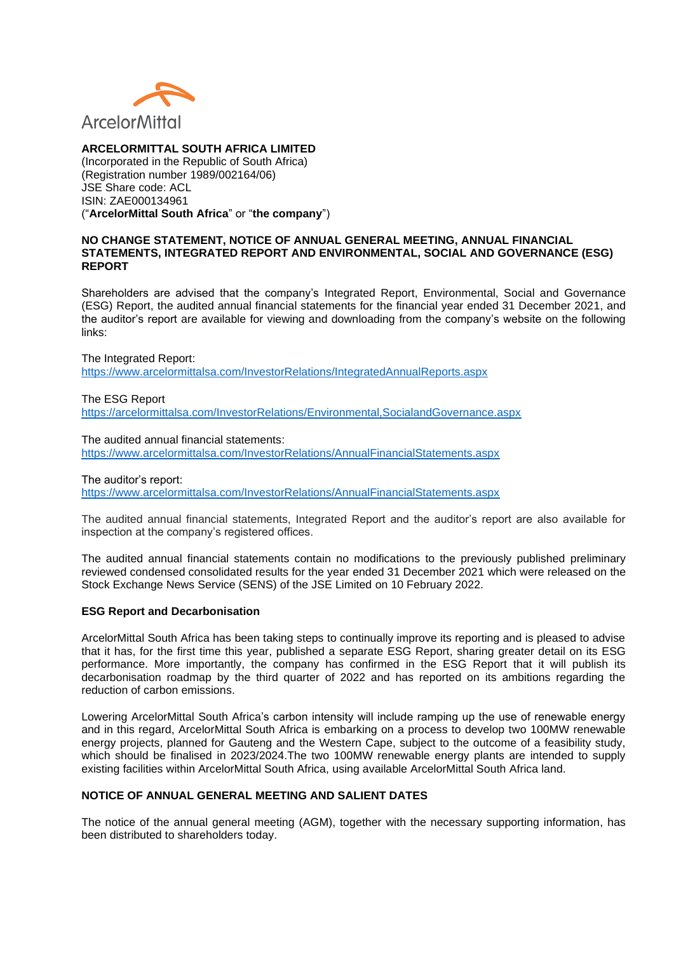

# **ARCELORMITTAL SOUTH AFRICA LIMITED**

(Incorporated in the Republic of South Africa) (Registration number 1989/002164/06) JSE Share code: ACL ISIN: ZAE000134961 ("**ArcelorMittal South Africa**" or "**the company**")

## **NO CHANGE STATEMENT, NOTICE OF ANNUAL GENERAL MEETING, ANNUAL FINANCIAL STATEMENTS, INTEGRATED REPORT AND ENVIRONMENTAL, SOCIAL AND GOVERNANCE (ESG) REPORT**

Shareholders are advised that the company's Integrated Report, Environmental, Social and Governance (ESG) Report, the audited annual financial statements for the financial year ended 31 December 2021, and the auditor's report are available for viewing and downloading from the company's website on the following links:

The Integrated Report: <https://www.arcelormittalsa.com/InvestorRelations/IntegratedAnnualReports.aspx>

The ESG Report <https://arcelormittalsa.com/InvestorRelations/Environmental,SocialandGovernance.aspx>

The audited annual financial statements: <https://www.arcelormittalsa.com/InvestorRelations/AnnualFinancialStatements.aspx>

The auditor's report: <https://www.arcelormittalsa.com/InvestorRelations/AnnualFinancialStatements.aspx>

The audited annual financial statements, Integrated Report and the auditor's report are also available for inspection at the company's registered offices.

The audited annual financial statements contain no modifications to the previously published preliminary reviewed condensed consolidated results for the year ended 31 December 2021 which were released on the Stock Exchange News Service (SENS) of the JSE Limited on 10 February 2022.

# **ESG Report and Decarbonisation**

ArcelorMittal South Africa has been taking steps to continually improve its reporting and is pleased to advise that it has, for the first time this year, published a separate ESG Report, sharing greater detail on its ESG performance. More importantly, the company has confirmed in the ESG Report that it will publish its decarbonisation roadmap by the third quarter of 2022 and has reported on its ambitions regarding the reduction of carbon emissions.

Lowering ArcelorMittal South Africa's carbon intensity will include ramping up the use of renewable energy and in this regard, ArcelorMittal South Africa is embarking on a process to develop two 100MW renewable energy projects, planned for Gauteng and the Western Cape, subject to the outcome of a feasibility study, which should be finalised in 2023/2024. The two 100MW renewable energy plants are intended to supply existing facilities within ArcelorMittal South Africa, using available ArcelorMittal South Africa land.

#### **NOTICE OF ANNUAL GENERAL MEETING AND SALIENT DATES**

The notice of the annual general meeting (AGM), together with the necessary supporting information, has been distributed to shareholders today.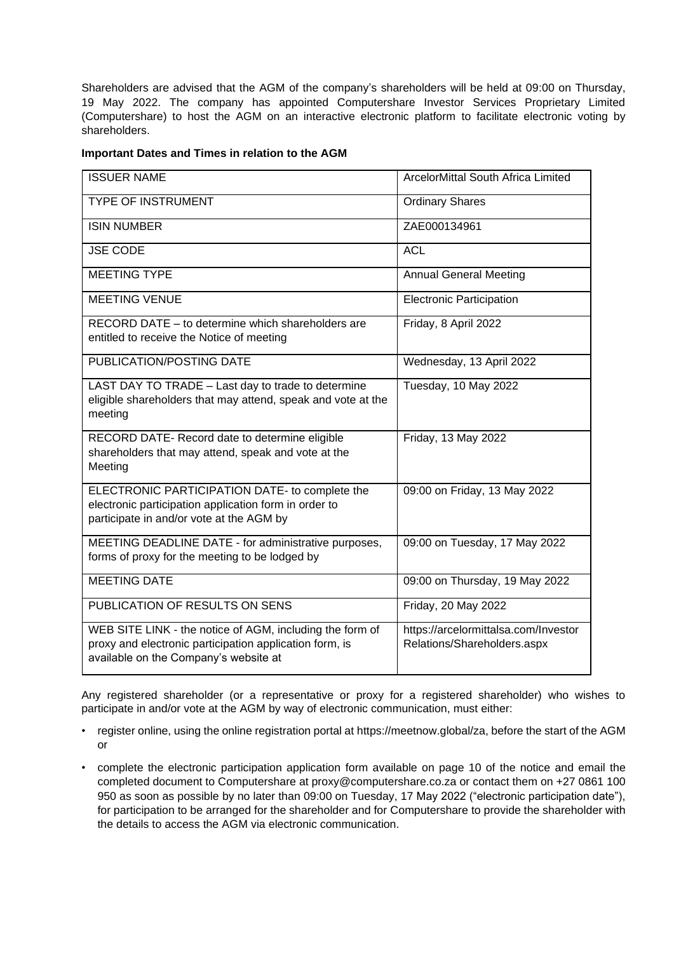Shareholders are advised that the AGM of the company's shareholders will be held at 09:00 on Thursday, 19 May 2022. The company has appointed Computershare Investor Services Proprietary Limited (Computershare) to host the AGM on an interactive electronic platform to facilitate electronic voting by shareholders.

## **Important Dates and Times in relation to the AGM**

| <b>ISSUER NAME</b>                                                                                                                                           | ArcelorMittal South Africa Limited                                  |
|--------------------------------------------------------------------------------------------------------------------------------------------------------------|---------------------------------------------------------------------|
| <b>TYPE OF INSTRUMENT</b>                                                                                                                                    | <b>Ordinary Shares</b>                                              |
| <b>ISIN NUMBER</b>                                                                                                                                           | ZAE000134961                                                        |
| <b>JSE CODE</b>                                                                                                                                              | <b>ACL</b>                                                          |
| <b>MEETING TYPE</b>                                                                                                                                          | <b>Annual General Meeting</b>                                       |
| <b>MEETING VENUE</b>                                                                                                                                         | <b>Electronic Participation</b>                                     |
| RECORD DATE – to determine which shareholders are<br>entitled to receive the Notice of meeting                                                               | Friday, 8 April 2022                                                |
| PUBLICATION/POSTING DATE                                                                                                                                     | Wednesday, 13 April 2022                                            |
| LAST DAY TO TRADE - Last day to trade to determine<br>eligible shareholders that may attend, speak and vote at the<br>meeting                                | Tuesday, 10 May 2022                                                |
| RECORD DATE- Record date to determine eligible<br>shareholders that may attend, speak and vote at the<br>Meeting                                             | Friday, 13 May 2022                                                 |
| ELECTRONIC PARTICIPATION DATE- to complete the<br>electronic participation application form in order to<br>participate in and/or vote at the AGM by          | 09:00 on Friday, 13 May 2022                                        |
| MEETING DEADLINE DATE - for administrative purposes,<br>forms of proxy for the meeting to be lodged by                                                       | 09:00 on Tuesday, 17 May 2022                                       |
| <b>MEETING DATE</b>                                                                                                                                          | 09:00 on Thursday, 19 May 2022                                      |
| PUBLICATION OF RESULTS ON SENS                                                                                                                               | Friday, 20 May 2022                                                 |
| WEB SITE LINK - the notice of AGM, including the form of<br>proxy and electronic participation application form, is<br>available on the Company's website at | https://arcelormittalsa.com/Investor<br>Relations/Shareholders.aspx |

Any registered shareholder (or a representative or proxy for a registered shareholder) who wishes to participate in and/or vote at the AGM by way of electronic communication, must either:

- register online, using the online registration portal at https://meetnow.global/za, before the start of the AGM or
- complete the electronic participation application form available on page 10 of the notice and email the completed document to Computershare at proxy@computershare.co.za or contact them on +27 0861 100 950 as soon as possible by no later than 09:00 on Tuesday, 17 May 2022 ("electronic participation date"), for participation to be arranged for the shareholder and for Computershare to provide the shareholder with the details to access the AGM via electronic communication.